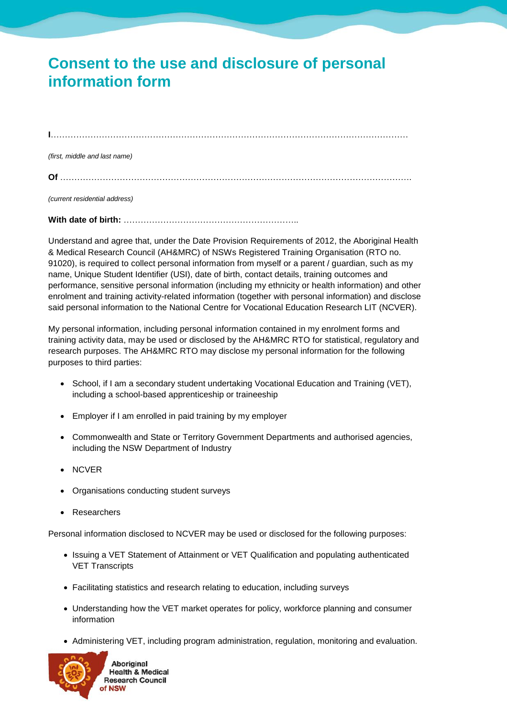## **Consent to the use and disclosure of personal information form**

**I**………………………………………………………………………………………………………………

*(first, middle and last name)*

**Of** …………………………………………………………………………………………………………….

*(current residential address)*

**With date of birth:** ……………………………………………………..

Understand and agree that, under the Date Provision Requirements of 2012, the Aboriginal Health & Medical Research Council (AH&MRC) of NSWs Registered Training Organisation (RTO no. 91020), is required to collect personal information from myself or a parent / guardian, such as my name, Unique Student Identifier (USI), date of birth, contact details, training outcomes and performance, sensitive personal information (including my ethnicity or health information) and other enrolment and training activity-related information (together with personal information) and disclose said personal information to the National Centre for Vocational Education Research LIT (NCVER).

My personal information, including personal information contained in my enrolment forms and training activity data, may be used or disclosed by the AH&MRC RTO for statistical, regulatory and research purposes. The AH&MRC RTO may disclose my personal information for the following purposes to third parties:

- School, if I am a secondary student undertaking Vocational Education and Training (VET), including a school-based apprenticeship or traineeship
- Employer if I am enrolled in paid training by my employer
- Commonwealth and State or Territory Government Departments and authorised agencies, including the NSW Department of Industry
- NCVER
- Organisations conducting student surveys
- **Researchers**

Personal information disclosed to NCVER may be used or disclosed for the following purposes:

- Issuing a VET Statement of Attainment or VET Qualification and populating authenticated VET Transcripts
- Facilitating statistics and research relating to education, including surveys
- Understanding how the VET market operates for policy, workforce planning and consumer information
- Administering VET, including program administration, regulation, monitoring and evaluation.